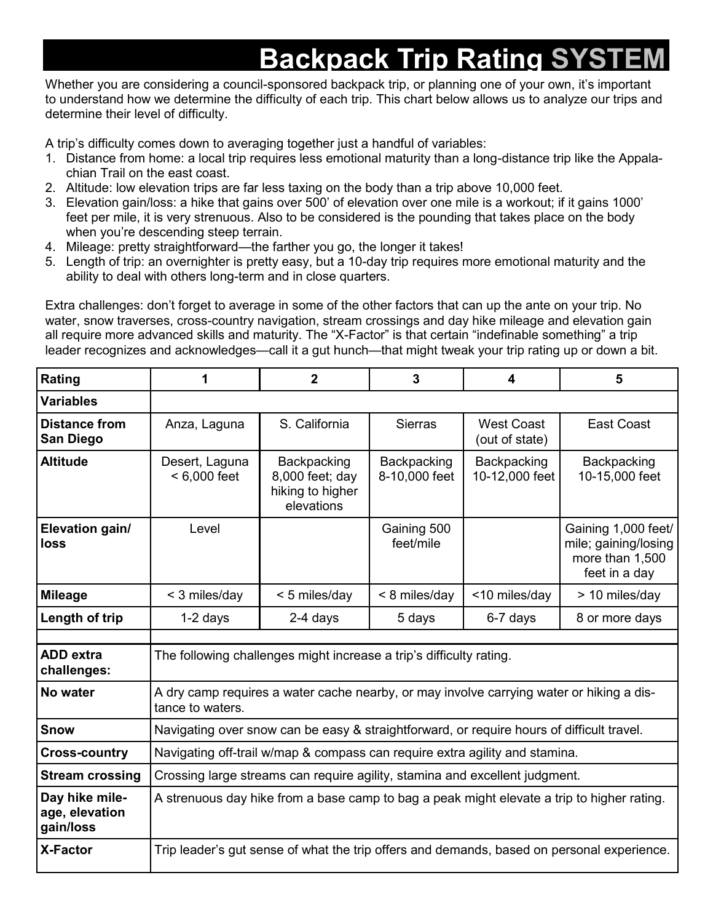## **Backpack Trip Rating SYST**

Whether you are considering a council-sponsored backpack trip, or planning one of your own, it's important to understand how we determine the difficulty of each trip. This chart below allows us to analyze our trips and determine their level of difficulty.

A trip's difficulty comes down to averaging together just a handful of variables:

- 1. Distance from home: a local trip requires less emotional maturity than a long-distance trip like the Appalachian Trail on the east coast.
- 2. Altitude: low elevation trips are far less taxing on the body than a trip above 10,000 feet.
- 3. Elevation gain/loss: a hike that gains over 500' of elevation over one mile is a workout; if it gains 1000' feet per mile, it is very strenuous. Also to be considered is the pounding that takes place on the body when you're descending steep terrain.
- 4. Mileage: pretty straightforward—the farther you go, the longer it takes!
- 5. Length of trip: an overnighter is pretty easy, but a 10-day trip requires more emotional maturity and the ability to deal with others long-term and in close quarters.

Extra challenges: don't forget to average in some of the other factors that can up the ante on your trip. No water, snow traverses, cross-country navigation, stream crossings and day hike mileage and elevation gain all require more advanced skills and maturity. The "X-Factor" is that certain "indefinable something" a trip leader recognizes and acknowledges—call it a gut hunch—that might tweak your trip rating up or down a bit.

| Rating                                        | 1                                                                                                            | $\mathbf{2}$                                                     | 3                            | 4                                   | 5                                                                               |  |
|-----------------------------------------------|--------------------------------------------------------------------------------------------------------------|------------------------------------------------------------------|------------------------------|-------------------------------------|---------------------------------------------------------------------------------|--|
| <b>Variables</b>                              |                                                                                                              |                                                                  |                              |                                     |                                                                                 |  |
| <b>Distance from</b><br>San Diego             | Anza, Laguna                                                                                                 | S. California                                                    | <b>Sierras</b>               | <b>West Coast</b><br>(out of state) | East Coast                                                                      |  |
| <b>Altitude</b>                               | Desert, Laguna<br>$< 6,000$ feet                                                                             | Backpacking<br>8,000 feet; day<br>hiking to higher<br>elevations | Backpacking<br>8-10,000 feet | Backpacking<br>10-12,000 feet       | Backpacking<br>10-15,000 feet                                                   |  |
| Elevation gain/<br>loss                       | Level                                                                                                        |                                                                  | Gaining 500<br>feet/mile     |                                     | Gaining 1,000 feet/<br>mile; gaining/losing<br>more than 1,500<br>feet in a day |  |
| <b>Mileage</b>                                | < 3 miles/day                                                                                                | < 5 miles/day                                                    | < 8 miles/day                | <10 miles/day                       | > 10 miles/day                                                                  |  |
| Length of trip                                | $1-2$ days                                                                                                   | 2-4 days                                                         | 5 days                       | 6-7 days                            | 8 or more days                                                                  |  |
| <b>ADD</b> extra<br>challenges:               | The following challenges might increase a trip's difficulty rating.                                          |                                                                  |                              |                                     |                                                                                 |  |
| No water                                      | A dry camp requires a water cache nearby, or may involve carrying water or hiking a dis-<br>tance to waters. |                                                                  |                              |                                     |                                                                                 |  |
| <b>Snow</b>                                   | Navigating over snow can be easy & straightforward, or require hours of difficult travel.                    |                                                                  |                              |                                     |                                                                                 |  |
| <b>Cross-country</b>                          | Navigating off-trail w/map & compass can require extra agility and stamina.                                  |                                                                  |                              |                                     |                                                                                 |  |
| <b>Stream crossing</b>                        | Crossing large streams can require agility, stamina and excellent judgment.                                  |                                                                  |                              |                                     |                                                                                 |  |
| Day hike mile-<br>age, elevation<br>gain/loss | A strenuous day hike from a base camp to bag a peak might elevate a trip to higher rating.                   |                                                                  |                              |                                     |                                                                                 |  |
| <b>X-Factor</b>                               | Trip leader's gut sense of what the trip offers and demands, based on personal experience.                   |                                                                  |                              |                                     |                                                                                 |  |